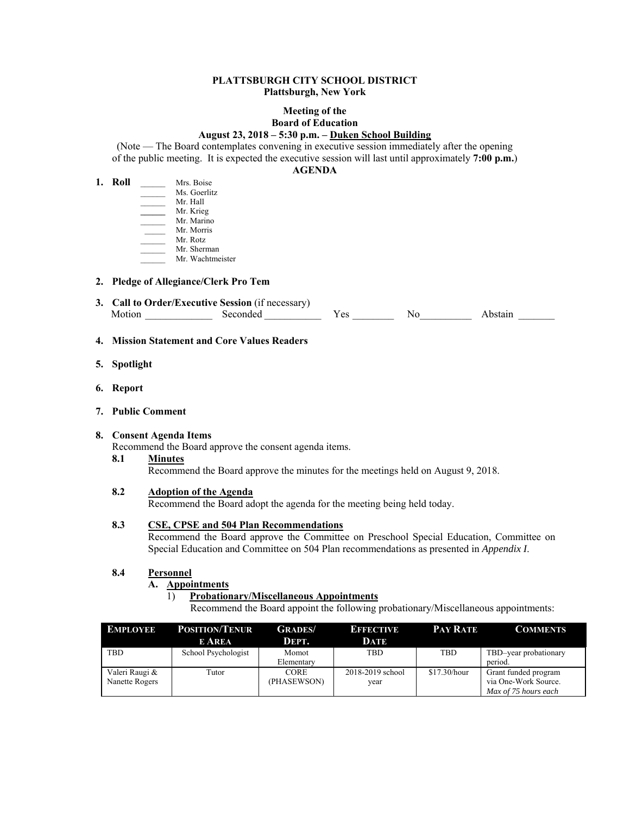### **PLATTSBURGH CITY SCHOOL DISTRICT Plattsburgh, New York**

### **Meeting of the Board of Education**

#### **August 23, 2018 – 5:30 p.m. – Duken School Building**

(Note — The Board contemplates convening in executive session immediately after the opening of the public meeting. It is expected the executive session will last until approximately **7:00 p.m.**)

#### **AGENDA**

| 1. Roll | Mrs. Boise       |
|---------|------------------|
|         | Ms. Goerlitz     |
|         | Mr. Hall         |
|         | Mr. Krieg        |
|         | Mr. Marino       |
|         | Mr. Morris       |
|         | Mr. Rotz         |
|         | Mr. Sherman      |
|         | Mr. Wachtmeister |
|         |                  |

#### **2. Pledge of Allegiance/Clerk Pro Tem**

| 3. Call to Order/Executive Session (if necessary) |          |  |    |  |  |  |
|---------------------------------------------------|----------|--|----|--|--|--|
|                                                   | Seconded |  | Nο |  |  |  |

### **4. Mission Statement and Core Values Readers**

- **5. Spotlight**
- **6. Report**
- **7. Public Comment**

#### **8. Consent Agenda Items**

Recommend the Board approve the consent agenda items.

#### **8.1 Minutes**

Recommend the Board approve the minutes for the meetings held on August 9, 2018.

## **8.2 Adoption of the Agenda**

Recommend the Board adopt the agenda for the meeting being held today.

## **8.3 CSE, CPSE and 504 Plan Recommendations**

Recommend the Board approve the Committee on Preschool Special Education, Committee on Special Education and Committee on 504 Plan recommendations as presented in *Appendix I*.

## **8.4 Personnel**

#### **A. Appointments**

#### 1) **Probationary/Miscellaneous Appointments**

Recommend the Board appoint the following probationary/Miscellaneous appointments:

| <b>EMPLOYEE</b>                  | <b>POSITION/TENUR</b><br><b>E AREA</b> | <b>GRADES</b> /<br>DEPT.   | <b>EFFECTIVE</b><br>DATE | <b>PAY RATE</b> | <b>COMMENTS</b>                                                      |
|----------------------------------|----------------------------------------|----------------------------|--------------------------|-----------------|----------------------------------------------------------------------|
| <b>TBD</b>                       | School Psychologist                    | Momot<br>Elementary        | <b>TBD</b>               | TBD             | TBD-year probationary<br>period.                                     |
| Valeri Raugi &<br>Nanette Rogers | Tutor                                  | <b>CORE</b><br>(PHASEWSON) | 2018-2019 school<br>year | \$17.30/hour    | Grant funded program<br>via One-Work Source.<br>Max of 75 hours each |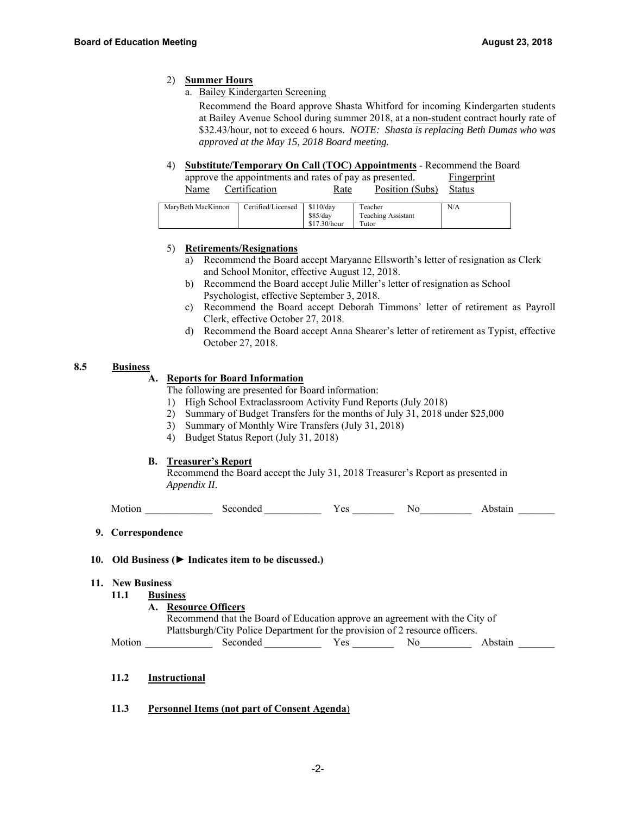## 2) **Summer Hours**

a. Bailey Kindergarten Screening

 Recommend the Board approve Shasta Whitford for incoming Kindergarten students at Bailey Avenue School during summer 2018, at a non-student contract hourly rate of \$32.43/hour, not to exceed 6 hours. *NOTE: Shasta is replacing Beth Dumas who was approved at the May 15, 2018 Board meeting.*

4) **Substitute/Temporary On Call (TOC) Appointments** - Recommend the Board

| approve the appointments and rates of pay as presented. |      |                        | <b>Fingerprint</b> |
|---------------------------------------------------------|------|------------------------|--------------------|
| Name Certification                                      | Rate | Position (Subs) Status |                    |

| MaryBeth MacKinnon | Certified/Licensed | \$110/day    | Teacher            | N/A |
|--------------------|--------------------|--------------|--------------------|-----|
|                    |                    | \$85/dav     | Teaching Assistant |     |
|                    |                    | \$17.30/hour | Tutor              |     |

### 5) **Retirements/Resignations**

- a) Recommend the Board accept Maryanne Ellsworth's letter of resignation as Clerk and School Monitor, effective August 12, 2018.
- b) Recommend the Board accept Julie Miller's letter of resignation as School Psychologist, effective September 3, 2018.
- c) Recommend the Board accept Deborah Timmons' letter of retirement as Payroll Clerk, effective October 27, 2018.
- d) Recommend the Board accept Anna Shearer's letter of retirement as Typist, effective October 27, 2018.

#### **8.5 Business**

# **A. Reports for Board Information**

The following are presented for Board information:

- 1) High School Extraclassroom Activity Fund Reports (July 2018)
- 2) Summary of Budget Transfers for the months of July 31, 2018 under \$25,000
- 3) Summary of Monthly Wire Transfers (July 31, 2018)
- 4) Budget Status Report (July 31, 2018)

#### **B. Treasurer's Report**

Recommend the Board accept the July 31, 2018 Treasurer's Report as presented in  *Appendix II*.

Motion Seconded Yes No Abstain

 **9. Correspondence** 

## **10. Old Business (► Indicates item to be discussed.)**

- **11. New Business** 
	- **11.1 Business** 
		- **A. Resource Officers**

| Recommend that the Board of Education approve an agreement with the City of  |
|------------------------------------------------------------------------------|
| Plattsburgh/City Police Department for the provision of 2 resource officers. |

Motion \_\_\_\_\_\_\_\_\_\_\_\_\_ Seconded \_\_\_\_\_\_\_\_\_\_\_ Yes \_\_\_\_\_\_\_\_ No\_\_\_\_\_\_\_\_\_\_ Abstain \_\_\_\_\_\_\_

- **11.2 Instructional**
- **11.3 Personnel Items (not part of Consent Agenda**)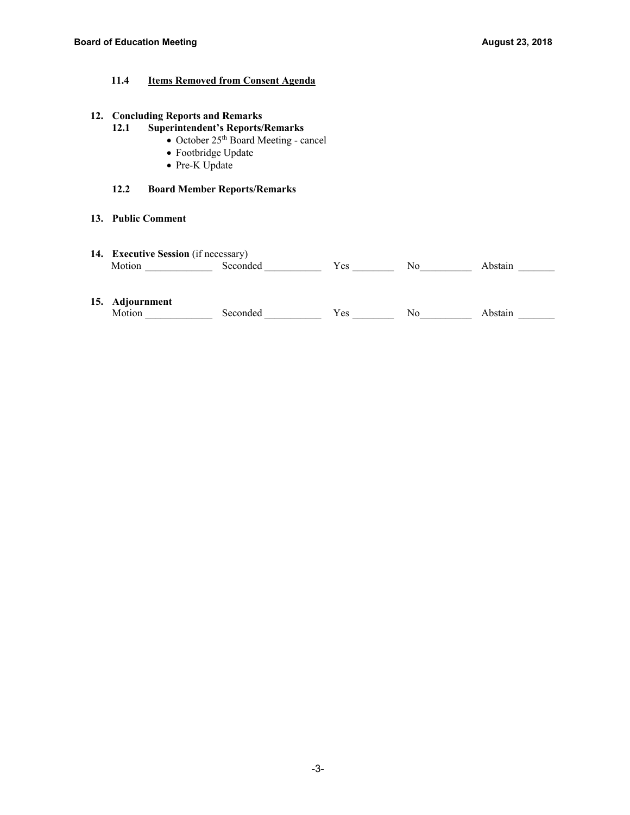# **11.4 Items Removed from Consent Agenda**

# **12. Concluding Reports and Remarks**

# **12.1 Superintendent's Reports/Remarks**

- October 25<sup>th</sup> Board Meeting cancel
- Footbridge Update
- Pre-K Update

# **12.2 Board Member Reports/Remarks**

# **13. Public Comment**

| $\blacksquare$ Executive Session (if necessary)<br>14. |        |  |    |  |  |
|--------------------------------------------------------|--------|--|----|--|--|
|                                                        | ്ദവാർല |  | Nc |  |  |

## **15. Adjournment**

| IVI. | :onat<br>эc | NU. | 51.0<br>¬ ப. |
|------|-------------|-----|--------------|
|      |             |     |              |